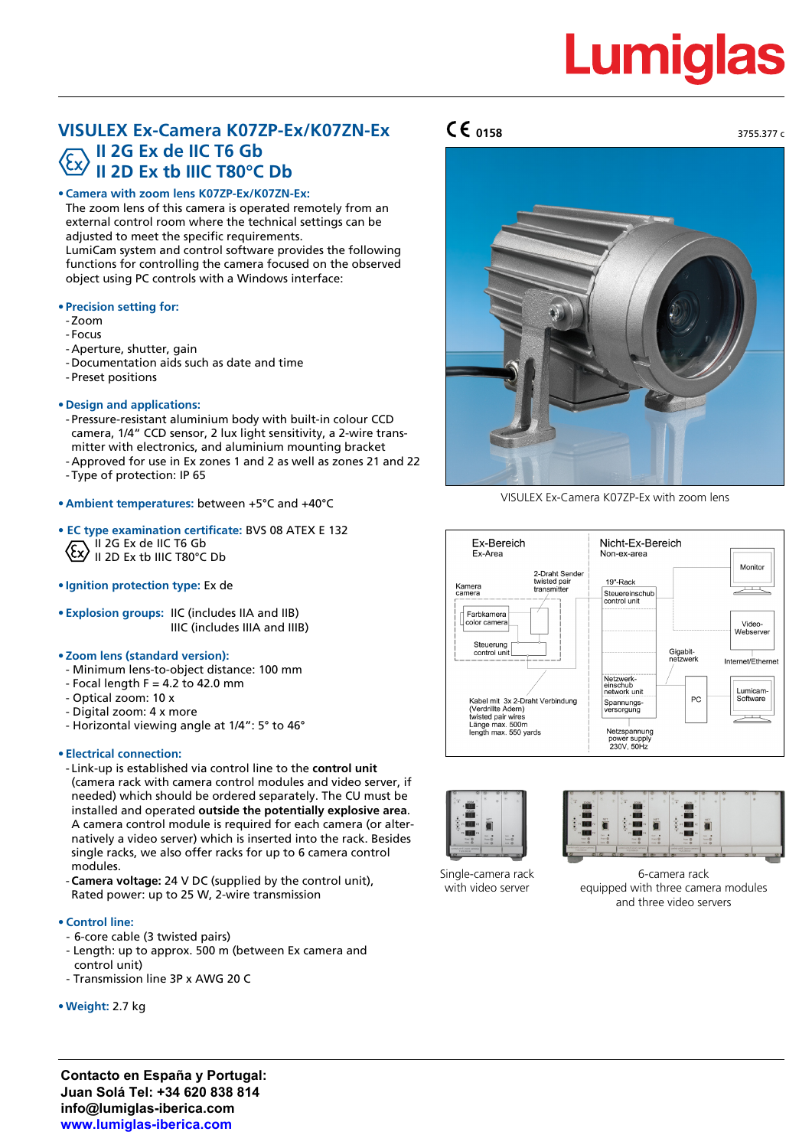# **Lumiglas**

3755.377 c

### **VISULEX Ex-Camera K07ZP-Ex/K07ZN-Ex II 2G Ex de IIC T6 Gb II 2D Ex tb IIIC T80°C Db**

#### **• Camera with zoom lens K07ZP-Ex/K07ZN-Ex:**

The zoom lens of this camera is operated remotely from an external control room where the technical settings can be adjusted to meet the specific requirements. LumiCam system and control software provides the following

functions for controlling the camera focused on the observed object using PC controls with a Windows interface:

#### **• Precision setting for:**

- Zoom
- Focus
- Aperture, shutter, gain
- Documentation aids such as date and time
- Preset positions
- **• Design and applications:**
- Pressure-resistant aluminium body with built-in colour CCD camera, 1/4" CCD sensor, 2 lux light sensitivity, a 2-wire trans mitter with electronics, and aluminium mounting bracket - Approved for use in Ex zones 1 and 2 as well as zones 21 and 22
- Type of protection: IP 65
- **• Ambient temperatures:** between +5°C and +40°C
- **• EC type examination certificate:** BVS 08 ATEX E 132 II 2G Ex de IIC T6 Gb II 2D Ex tb IIIC T80°C Db
- **• Ignition protection type:** Ex de
- **• Explosion groups:** IIC (includes IIA and IIB) IIIC (includes IIIA and IIIB)

#### **• Zoom lens (standard version):**

- Minimum lens-to-object distance: 100 mm
- $-$  Focal length F = 4.2 to 42.0 mm
- Optical zoom: 10 x
- Digital zoom: 4 x more
- Horizontal viewing angle at 1/4": 5° to 46°

#### • **Electrical connection:**

- Link-up is established via control line to the **control unit** (camera rack with camera control modules and video server, if needed) which should be ordered separately. The CU must be installed and operated **outside the potentially explosive area**. A camera control module is required for each camera (or alternatively a video server) which is inserted into the rack. Besides single racks, we also offer racks for up to 6 camera control modules.
- **Camera voltage:** 24 V DC (supplied by the control unit), Rated power: up to 25 W, 2-wire transmission

#### **• Control line:**

- 6-core cable (3 twisted pairs)
- Length: up to approx. 500 m (between Ex camera and control unit)
- Transmission line 3P x AWG 20 C
- **•Weight:** 2.7 kg

## **0158**



VISULEX Ex-Camera K07ZP-Ex with zoom lens









6-camera rack equipped with three camera modules and three video servers